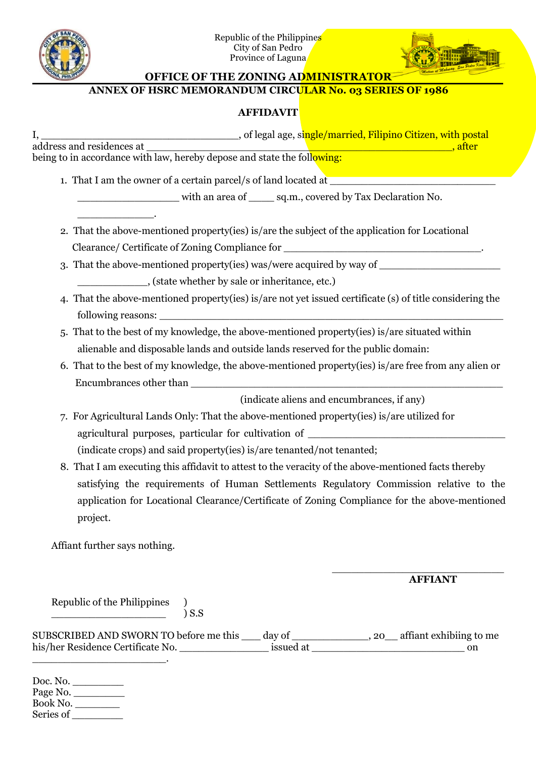



**OFFICE OF THE ZONING ADMINISTRATOR**

## **ANNEX OF HSRC MEMORANDUM CIRCULAR No. 03 SERIES OF 1986**

## **AFFIDAVIT**

I, \_\_\_\_\_\_\_\_\_\_\_\_\_\_\_\_\_\_\_\_\_\_\_\_\_\_\_\_\_\_\_, of legal age, single/married, Filipino Citizen, with postal address and residences at \_\_\_\_\_\_\_\_\_\_\_\_\_\_\_\_\_\_\_\_\_\_\_\_\_\_\_\_\_\_\_\_\_\_\_\_\_\_\_\_\_\_\_\_\_\_\_\_, after being to in accordance with law, hereby depose and state the following:

1. That I am the owner of a certain parcel/s of land located at

\_\_\_\_\_\_\_\_\_\_\_\_.

with an area of \_\_\_\_\_\_ sq.m., covered by Tax Declaration No.

- 2. That the above-mentioned property(ies) is/are the subject of the application for Locational Clearance/ Certificate of Zoning Compliance for \_\_\_\_\_\_\_\_\_\_\_\_\_\_\_\_\_\_\_\_\_\_\_\_\_\_\_\_\_\_\_\_.
- 3. That the above-mentioned property(ies) was/were acquired by way of

\_\_\_\_\_\_\_\_\_\_\_, (state whether by sale or inheritance, etc.)

- 4. That the above-mentioned property(ies) is/are not yet issued certificate (s) of title considering the following reasons:
- 5. That to the bestof my knowledge, the above-mentioned property(ies) is/are situated within alienable and disposable lands and outside lands reserved for the public domain:
- 6. That to the bestof my knowledge, the above-mentioned property(ies) is/are free from any alien or Encumbrances other than

(indicate aliens and encumbrances, if any)

- 7. For Agricultural Lands Only: That the above-mentioned property(ies) is/are utilized for agricultural purposes, particular for cultivation of \_\_\_\_\_\_\_\_\_\_\_\_\_\_\_\_\_\_\_\_\_\_\_\_\_\_\_ (indicate crops) and said property(ies) is/are tenanted/not tenanted;
- 8. That I am executing this affidavit to attest to the veracity of the above-mentioned facts thereby satisfying the requirements of Human Settlements Regulatory Commission relative to the application for Locational Clearance/Certificate of Zoning Compliance for the above-mentioned project.

Affiant further says nothing.

## \_\_\_\_\_\_\_\_\_\_\_\_\_\_\_\_\_\_\_\_\_\_\_\_\_\_\_ **AFFIANT**

Republic of the Philippines )  $\overline{\phantom{a}}$  ) S.S

SUBSCRIBED AND SWORN TO before me this \_\_\_ day of \_\_\_\_\_\_\_\_\_\_\_\_, 20\_\_ affiant exhibiing to me his/her Residence Certificate No. \_\_\_\_\_\_\_\_\_\_\_\_\_\_ issued at \_\_\_\_\_\_\_\_\_\_\_\_\_\_\_\_\_\_\_\_\_\_\_\_ on \_\_\_\_\_\_\_\_\_\_\_\_\_\_\_\_\_\_\_\_\_.

Doc. No. Page No. \_\_\_\_\_\_\_\_ Book No. Series of \_\_\_\_\_\_\_\_